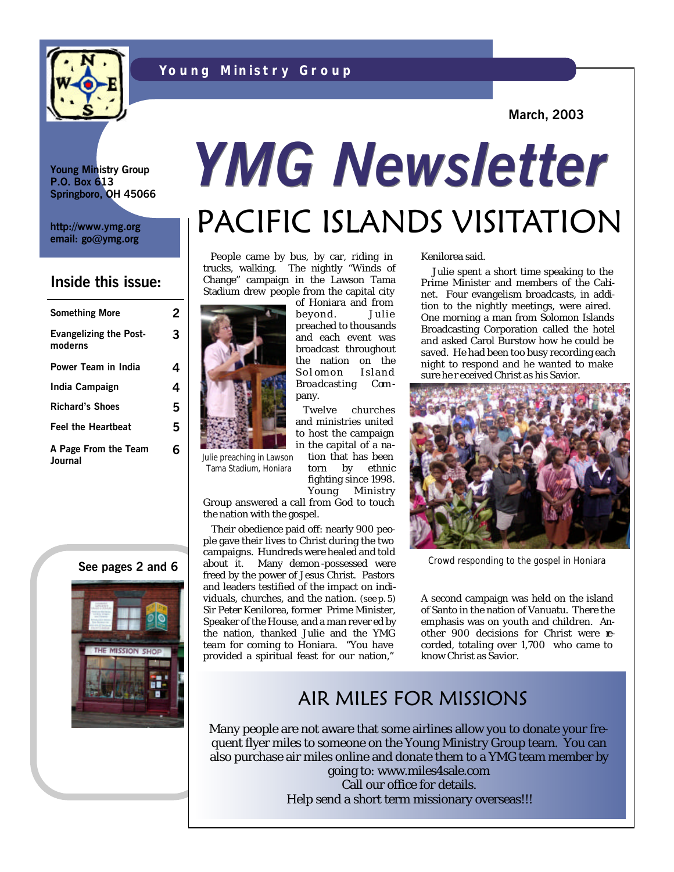



**March, 2003**

**Young Ministry Group P.O. Box 613 Springboro, OH 45066**

**http://www.ymg.org email: go@ymg.org**

#### **Inside this issue:**

| <b>Something More</b>                    | 2 |
|------------------------------------------|---|
| <b>Evangelizing the Post-</b><br>moderns | 3 |
| Power Team in India                      | 4 |
| India Campaign                           | 4 |
| <b>Richard's Shoes</b>                   | 5 |
| <b>Feel the Heartbeat</b>                | 5 |
| A Page From the Team<br>Journal          | 6 |





# PACIFIC ISLANDS VISITATION *YMG Newsletter*

 People came by bus, by car, riding in trucks, walking. The nightly "Winds of Change" campaign in the Lawson Tama Stadium drew people from the capital city of Honiara and from

> beyond. Julie preached to thousands and each event was broadcast throughout the nation on the Sol omon Island Broadcasting Com -

> Twelve churches and ministries united to host the campaign in the capital of a nation that has been



Julie preaching in Lawson Tama Stadium, Honiara

torn by ethnic fighting since 1998. Young Ministry

pany.

Group answered a call from God to touch the nation with the gospel.

 Their obedience paid off: nearly 900 people gave their lives to Christ during the two campaigns. Hundreds were healed and told See pages 2 and 6 about it. Many demon-possessed were Crowd responding to the gospel in Honiara freed by the power of Jesus Christ. Pastors and leaders testified of the impact on individuals, churches, and the nation. (see p. 5) Sir Peter Kenilorea, former Prime Minister, Speaker of the House, and a man rever ed by the nation, thanked Julie and the YMG team for coming to Honiara. "You have provided a spiritual feast for our nation,"

Kenilorea said.

 Julie spent a short time speaking to the Prime Minister and members of the Cabinet. Four evangelism broadcasts, in addition to the nightly meetings, were aired. One morning a man from Solomon Islands Broadcasting Corporation called the hotel and asked Carol Burstow how he could be saved. He had been too busy recording each night to respond and he wanted to make sure he r eceived Christ as his Savior.



A second campaign was held on the island of Santo in the nation of Vanuatu. There the emphasis was on youth and children. Another 900 decisions for Christ were recorded, totaling over 1,700 who came to know Christ as Savior.

#### AIR MILES FOR MISSIONS

Many people are not aware that some airlines allow you to donate your frequent flyer miles to someone on the Young Ministry Group team. You can also purchase air miles online and donate them to a YMG team member by going to: www.miles4sale.com

Call our office for details. Help send a short term missionary overseas!!!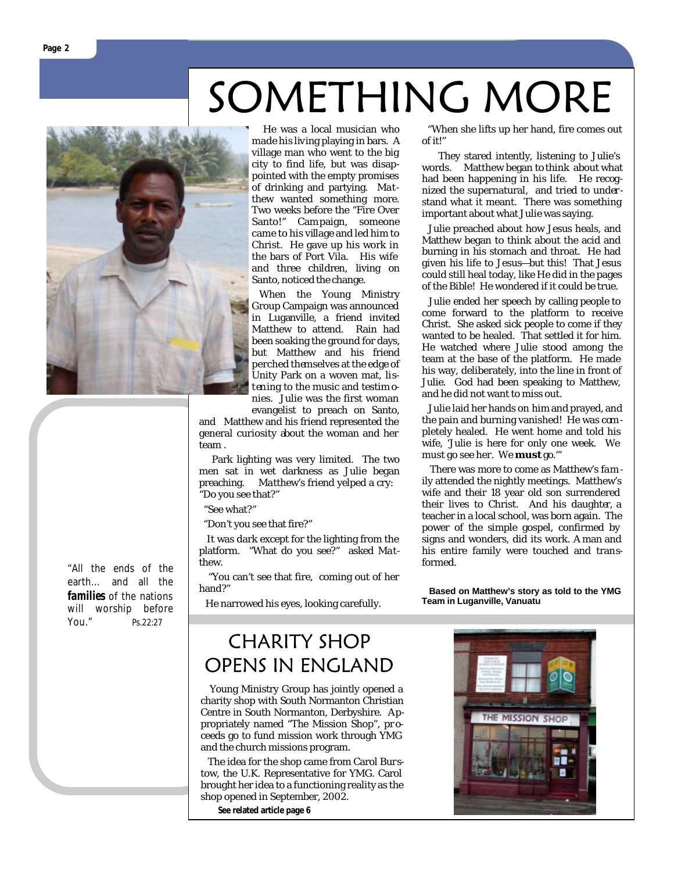

"All the ends of the earth… and all the *families* of the nations will worship before You." Ps.22:27

# SOMETHING MORE

 He was a local musician who made his living playing in bars. A village man who went to the big city to find life, but was disappointed with the empty promises of drinking and partying. Matthew wanted something more. Two weeks before the "Fire Over Santo!" Campaign, someone came to his village and led him to Christ. He gave up his work in the bars of Port Vila. His wife and three children, living on Santo, noticed the change.

 When the Young Ministry Group Campaign was announced in Luganville, a friend invited Matthew to attend. Rain had been soaking the ground for days, but Matthew and his friend perched themselves at the edge of Unity Park on a woven mat, listening to the music and testim onies. Julie was the first woman evangelist to preach on Santo,

and Matthew and his friend represented the general curiosity about the woman and her team .

 Park lighting was very limited. The two men sat in wet darkness as Julie began preaching. Matthew's friend yelped a cry: "Do you see that?"

"See what?"

"Don't you see that fire?"

 It was dark except for the lighting from the platform. "What do you see?" asked Matthew.

 "You can't see that fire, coming out of her hand?"

He narrowed his eyes, looking carefully.

### CHARITY SHOP OPENS IN ENGLAND

 Young Ministry Group has jointly opened a charity shop with South Normanton Christian Centre in South Normanton, Derbyshire. Appropriately named "The Mission Shop", pr oceeds go to fund mission work through YMG and the church missions program.

 The idea for the shop came from Carol Burstow, the U.K. Representative for YMG. Carol brought her idea to a functioning reality as the shop opened in September, 2002.

**See related article page 6** 

 "When she lifts up her hand, fire comes out of it!"

 They stared intently, listening to Julie's words. Matthew began to think about what had been happening in his life. He recognized the supernatural, and tried to understand what it meant. There was something important about what Julie was saying.

 Julie preached about how Jesus heals, and Matthew began to think about the acid and burning in his stomach and throat. He had given his life to Jesus—but this! That Jesus could still heal today, like He did in the pages of the Bible! He wondered if it could be true.

 Julie ended her speech by calling people to come forward to the platform to receive Christ. She asked sick people to come if they wanted to be healed. That settled it for him. He watched where Julie stood among the team at the base of the platform. He made his way, deliberately, into the line in front of Julie. God had been speaking to Matthew, and he did not want to miss out.

 Julie laid her hands on him and prayed, and the pain and burning vanished! He was com pletely healed. He went home and told his wife, 'Julie is here for only one week. We must go see her. We *must* go.'"

 There was more to come as Matthew's fam ily attended the nightly meetings. Matthew's wife and their 18 year old son surrendered their lives to Christ. And his daughter, a teacher in a local school, was born again. The power of the simple gospel, confirmed by signs and wonders, did its work. A man and his entire family were touched and transformed.

 **Based on Matthew's story as told to the YMG Team in Luganville, Vanuatu**

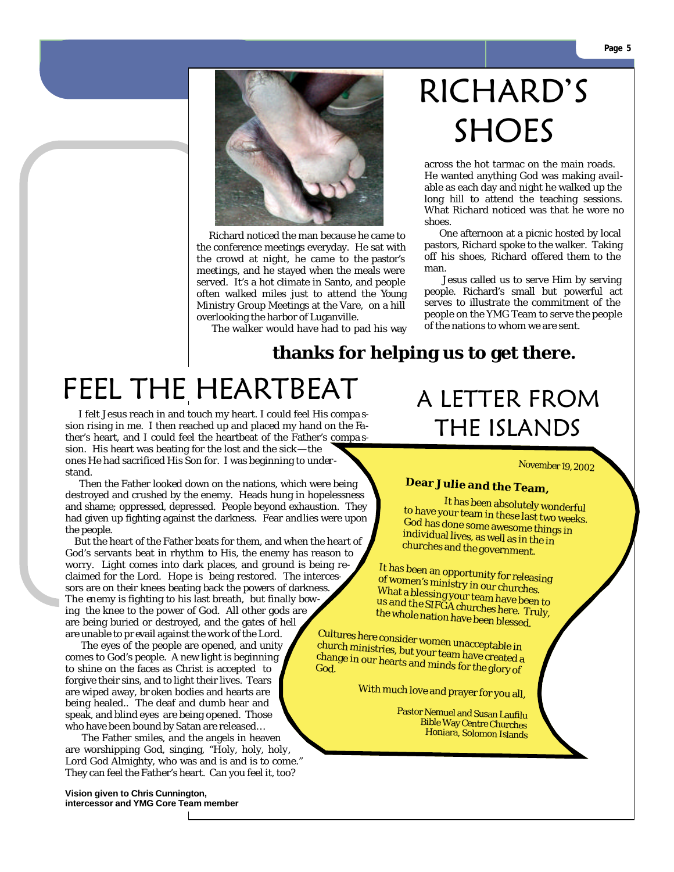

 Richard noticed the man because he came to the conference meetings everyday. He sat with the crowd at night, he came to the pastor's meetings, and he stayed when the meals were served. It's a hot climate in Santo, and people often walked miles just to attend the Young Ministry Group Meetings at the Vare, on a hill overlooking the harbor of Luganville.

The walker would have had to pad his way

## RICHARD'S SHOES

across the hot tarmac on the main roads. He wanted anything God was making available as each day and night he walked up the long hill to attend the teaching sessions. What Richard noticed was that he wore no shoes.

 One afternoon at a picnic hosted by local pastors, Richard spoke to the walker. Taking off his shoes, Richard offered them to the man.

 Jesus called us to serve Him by serving people. Richard's small but powerful act serves to illustrate the commitment of the people on the YMG Team to serve the people of the nations to whom we are sent.

#### **thanks for helping us to get there.**

FEEL THE HEARTBEAT

 I felt Jesus reach in and touch my heart. I could feel His compa ssion rising in me. I then reached up and placed my hand on the Father's heart, and I could feel the heartbeat of the Father's compa ssion. His heart was beating for the lost and the sick— the ones He had sacrificed His Son for. I was beginning to understand.

 Then the Father looked down on the nations, which were being destroyed and crushed by the enemy. Heads hung in hopelessness and shame; oppressed, depressed. People beyond exhaustion. They had given up fighting against the darkness. Fear and lies were upon the people.

 But the heart of the Father beats for them, and when the heart of God's servants beat in rhythm to His, the enemy has reason to worry. Light comes into dark places, and ground is being reclaimed for the Lord. Hope is being restored. The intercessors are on their knees beating back the powers of darkness. The enemy is fighting to his last breath, but finally bowing the knee to the power of God. All other gods are are being buried or destroyed, and the gates of hell are unable to pr evail against the work of the Lord.

 The eyes of the people are opened, and unity comes to God's people. A new light is beginning to shine on the faces as Christ is accepted to forgive their sins, and to light their lives. Tears are wiped away, br oken bodies and hearts are being healed.. The deaf and dumb hear and speak, and blind eyes are being opened. Those who have been bound by Satan are released…

 The Father smiles, and the angels in heaven are worshipping God, singing, "Holy, holy, holy, Lord God Almighty, who was and is and is to come." They can feel the Father's heart. Can you feel it, too?

**Vision given to Chris Cunnington, intercessor and YMG Core Team member**

### A LETTER FROM THE ISLANDS

November 19, 2002

**Dear Julie and the Team,**<br>It has been absolutely wonderful to have your team in these last two weeks.<br>God has done some awesome things in<br>individual lives, as well as in the in churches and the government.

It has been an opportunity for releasing<br>of women's ministry in our churches.<br>What a blessing your team have been to<br>us and the SIFGA churches here. Truly,

the whole nation have been blessed.<br>Cultures here consider women unacceptable in church ministries, but your team have created a change in our hearts and minds for the glory of

With much love and prayer for you all,

Pastor Nemuel and Susan Laufilu Bible Way Centre Churches Honiara, Solomon Islands